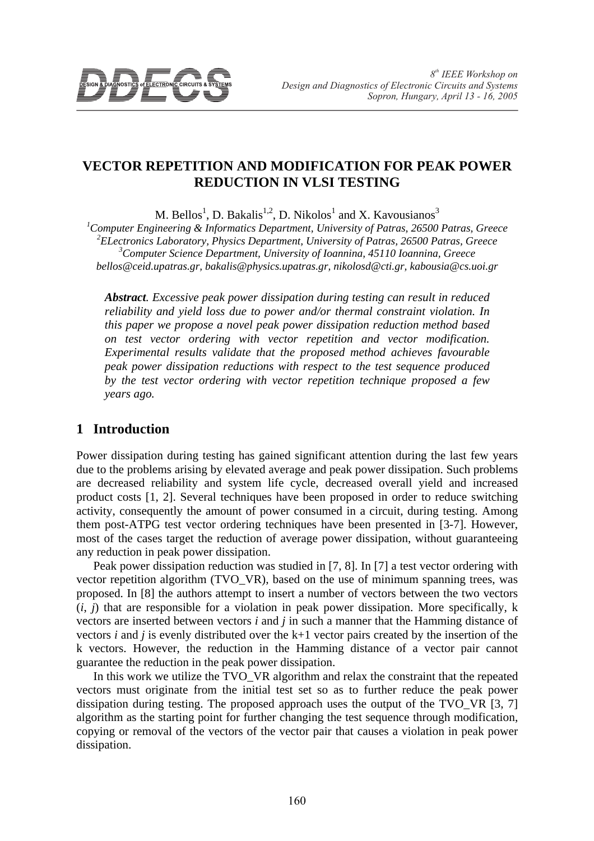

# **VECTOR REPETITION AND MODIFICATION FOR PEAK POWER REDUCTION IN VLSI TESTING**

M. Bellos<sup>1</sup>, D. Bakalis<sup>1,2</sup>, D. Nikolos<sup>1</sup> and X. Kavousianos<sup>3</sup>

 *Computer Engineering & Informatics Department, University of Patras, 26500 Patras, Greece ELectronics Laboratory, Physics Department, University of Patras, 26500 Patras, Greece Computer Science Department, University of Ioannina, 45110 Ioannina, Greece bellos@ceid.upatras.gr, bakalis@physics.upatras.gr, nikolosd@cti.gr, kabousia@cs.uoi.gr* 

*Abstract. Excessive peak power dissipation during testing can result in reduced reliability and yield loss due to power and/or thermal constraint violation. In this paper we propose a novel peak power dissipation reduction method based on test vector ordering with vector repetition and vector modification. Experimental results validate that the proposed method achieves favourable peak power dissipation reductions with respect to the test sequence produced by the test vector ordering with vector repetition technique proposed a few years ago.* 

### **1 Introduction**

Power dissipation during testing has gained significant attention during the last few years due to the problems arising by elevated average and peak power dissipation. Such problems are decreased reliability and system life cycle, decreased overall yield and increased product costs [1, 2]. Several techniques have been proposed in order to reduce switching activity, consequently the amount of power consumed in a circuit, during testing. Among them post-ATPG test vector ordering techniques have been presented in [3-7]. However, most of the cases target the reduction of average power dissipation, without guaranteeing any reduction in peak power dissipation.

Peak power dissipation reduction was studied in [7, 8]. In [7] a test vector ordering with vector repetition algorithm (TVO\_VR), based on the use of minimum spanning trees, was proposed. In [8] the authors attempt to insert a number of vectors between the two vectors  $(i, j)$  that are responsible for a violation in peak power dissipation. More specifically, k vectors are inserted between vectors *i* and *j* in such a manner that the Hamming distance of vectors *i* and *j* is evenly distributed over the k+1 vector pairs created by the insertion of the k vectors. However, the reduction in the Hamming distance of a vector pair cannot guarantee the reduction in the peak power dissipation.

In this work we utilize the TVO\_VR algorithm and relax the constraint that the repeated vectors must originate from the initial test set so as to further reduce the peak power dissipation during testing. The proposed approach uses the output of the TVO\_VR [3, 7] algorithm as the starting point for further changing the test sequence through modification, copying or removal of the vectors of the vector pair that causes a violation in peak power dissipation.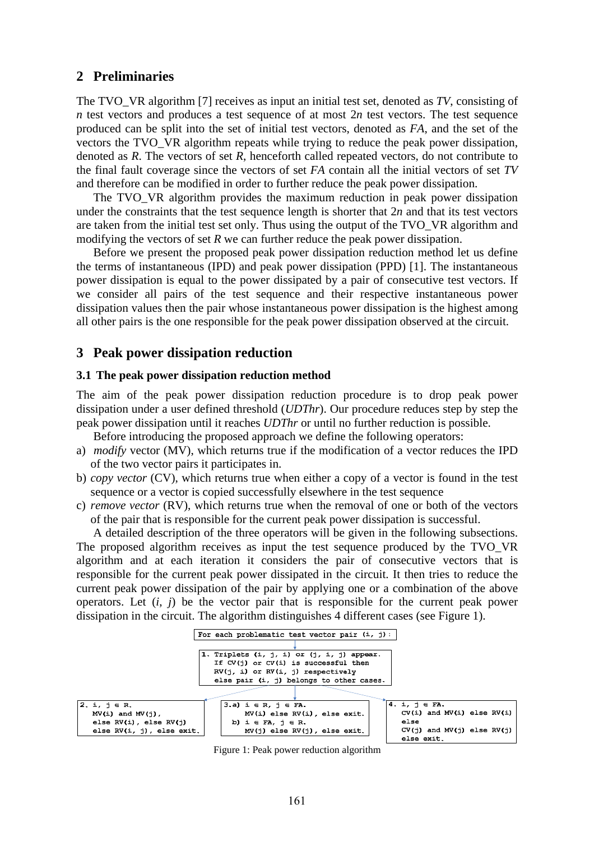## **2 Preliminaries**

The TVO\_VR algorithm [7] receives as input an initial test set, denoted as *TV*, consisting of *n* test vectors and produces a test sequence of at most 2*n* test vectors. The test sequence produced can be split into the set of initial test vectors, denoted as *FA*, and the set of the vectors the TVO\_VR algorithm repeats while trying to reduce the peak power dissipation, denoted as *R*. The vectors of set *R*, henceforth called repeated vectors, do not contribute to the final fault coverage since the vectors of set *FA* contain all the initial vectors of set *TV* and therefore can be modified in order to further reduce the peak power dissipation.

The TVO\_VR algorithm provides the maximum reduction in peak power dissipation under the constraints that the test sequence length is shorter that 2*n* and that its test vectors are taken from the initial test set only. Thus using the output of the TVO\_VR algorithm and modifying the vectors of set *R* we can further reduce the peak power dissipation.

Before we present the proposed peak power dissipation reduction method let us define the terms of instantaneous (IPD) and peak power dissipation (PPD) [1]. The instantaneous power dissipation is equal to the power dissipated by a pair of consecutive test vectors. If we consider all pairs of the test sequence and their respective instantaneous power dissipation values then the pair whose instantaneous power dissipation is the highest among all other pairs is the one responsible for the peak power dissipation observed at the circuit.

### **3 Peak power dissipation reduction**

#### **3.1 The peak power dissipation reduction method**

The aim of the peak power dissipation reduction procedure is to drop peak power dissipation under a user defined threshold (*UDThr*). Our procedure reduces step by step the peak power dissipation until it reaches *UDThr* or until no further reduction is possible.

Before introducing the proposed approach we define the following operators:

- a) *modify* vector (MV), which returns true if the modification of a vector reduces the IPD of the two vector pairs it participates in.
- b) *copy vector* (CV), which returns true when either a copy of a vector is found in the test sequence or a vector is copied successfully elsewhere in the test sequence
- c) *remove vector* (RV), which returns true when the removal of one or both of the vectors of the pair that is responsible for the current peak power dissipation is successful.

A detailed description of the three operators will be given in the following subsections. The proposed algorithm receives as input the test sequence produced by the TVO\_VR algorithm and at each iteration it considers the pair of consecutive vectors that is responsible for the current peak power dissipated in the circuit. It then tries to reduce the current peak power dissipation of the pair by applying one or a combination of the above operators. Let  $(i, j)$  be the vector pair that is responsible for the current peak power dissipation in the circuit. The algorithm distinguishes 4 different cases (see Figure 1).



Figure 1: Peak power reduction algorithm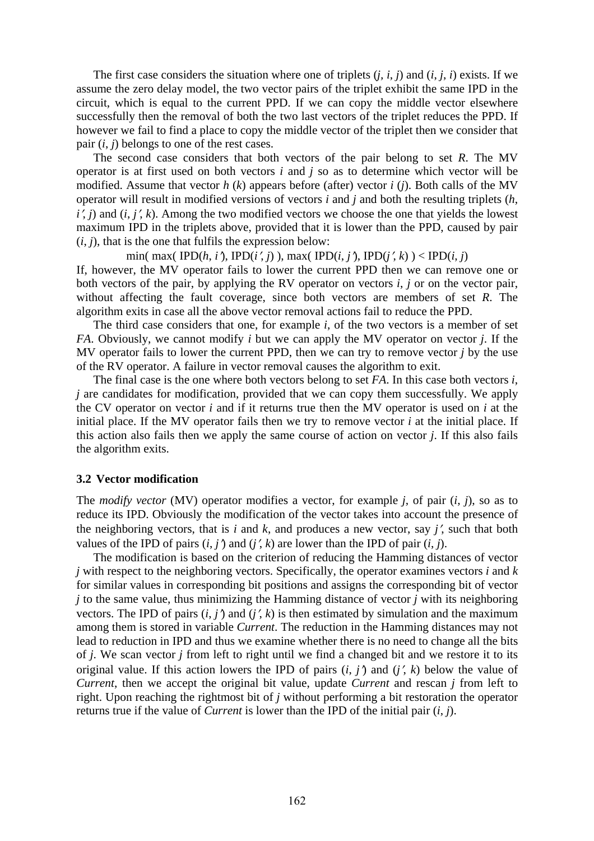The first case considers the situation where one of triplets  $(i, i, j)$  and  $(i, j, i)$  exists. If we assume the zero delay model, the two vector pairs of the triplet exhibit the same IPD in the circuit, which is equal to the current PPD. If we can copy the middle vector elsewhere successfully then the removal of both the two last vectors of the triplet reduces the PPD. If however we fail to find a place to copy the middle vector of the triplet then we consider that pair  $(i, j)$  belongs to one of the rest cases.

The second case considers that both vectors of the pair belong to set *R*. The MV operator is at first used on both vectors *i* and *j* so as to determine which vector will be modified. Assume that vector *h* (*k*) appears before (after) vector *i* (*j*). Both calls of the MV operator will result in modified versions of vectors *i* and *j* and both the resulting triplets (*h*,  $i'$ , *j*) and  $(i, j'$ , *k*). Among the two modified vectors we choose the one that yields the lowest maximum IPD in the triplets above, provided that it is lower than the PPD, caused by pair  $(i, j)$ , that is the one that fulfils the expression below:

min( max( IPD( $h$ ,  $i'$ ), IPD( $i'$ ,  $j$ )), max( IPD( $i$ ,  $j'$ ), IPD( $j'$ ,  $k$ )) < IPD( $i$ ,  $j$ ) If, however, the MV operator fails to lower the current PPD then we can remove one or both vectors of the pair, by applying the RV operator on vectors *i*, *j* or on the vector pair, without affecting the fault coverage, since both vectors are members of set *R*. The algorithm exits in case all the above vector removal actions fail to reduce the PPD.

The third case considers that one, for example *i*, of the two vectors is a member of set *FA*. Obviously, we cannot modify *i* but we can apply the MV operator on vector *j*. If the MV operator fails to lower the current PPD, then we can try to remove vector *j* by the use of the RV operator. A failure in vector removal causes the algorithm to exit.

The final case is the one where both vectors belong to set *FA*. In this case both vectors *i*, *j* are candidates for modification, provided that we can copy them successfully. We apply the CV operator on vector *i* and if it returns true then the MV operator is used on *i* at the initial place. If the MV operator fails then we try to remove vector  $i$  at the initial place. If this action also fails then we apply the same course of action on vector *j*. If this also fails the algorithm exits.

#### **3.2 Vector modification**

The *modify vector* (MV) operator modifies a vector, for example *j*, of pair (*i*, *j*), so as to reduce its IPD. Obviously the modification of the vector takes into account the presence of the neighboring vectors, that is *i* and *k*, and produces a new vector, say *j*′, such that both values of the IPD of pairs  $(i, j')$  and  $(j', k)$  are lower than the IPD of pair  $(i, j)$ .

The modification is based on the criterion of reducing the Hamming distances of vector *j* with respect to the neighboring vectors. Specifically, the operator examines vectors *i* and *k* for similar values in corresponding bit positions and assigns the corresponding bit of vector *j* to the same value, thus minimizing the Hamming distance of vector *j* with its neighboring vectors. The IPD of pairs  $(i, j')$  and  $(j' , k)$  is then estimated by simulation and the maximum among them is stored in variable *Current*. The reduction in the Hamming distances may not lead to reduction in IPD and thus we examine whether there is no need to change all the bits of *j*. We scan vector *j* from left to right until we find a changed bit and we restore it to its original value. If this action lowers the IPD of pairs  $(i, j')$  and  $(j', k)$  below the value of *Current*, then we accept the original bit value, update *Current* and rescan *j* from left to right. Upon reaching the rightmost bit of *j* without performing a bit restoration the operator returns true if the value of *Current* is lower than the IPD of the initial pair (*i*, *j*).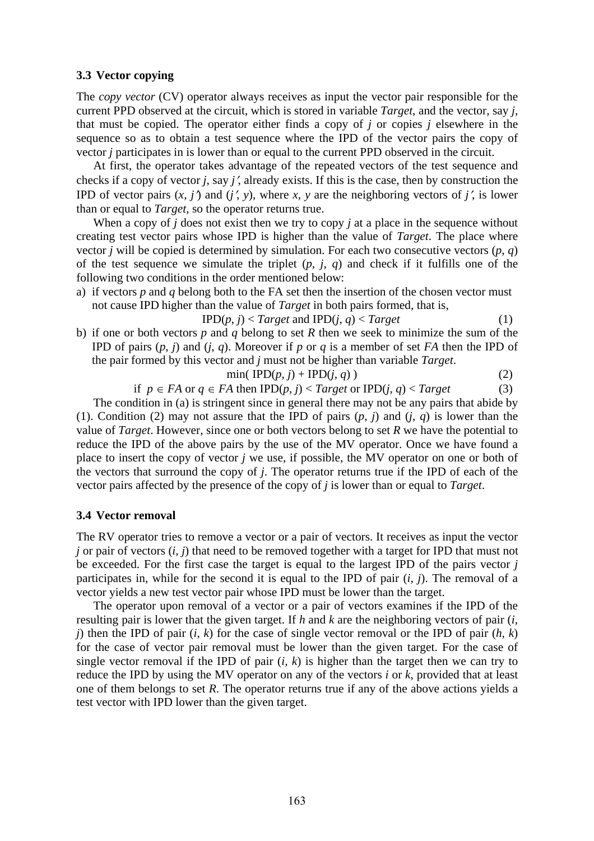#### **3.3 Vector copying**

The *copy vector* (CV) operator always receives as input the vector pair responsible for the current PPD observed at the circuit, which is stored in variable *Target*, and the vector, say *j*, that must be copied. The operator either finds a copy of *j* or copies *j* elsewhere in the sequence so as to obtain a test sequence where the IPD of the vector pairs the copy of vector *j* participates in is lower than or equal to the current PPD observed in the circuit.

At first, the operator takes advantage of the repeated vectors of the test sequence and checks if a copy of vector *j*, say *j*′, already exists. If this is the case, then by construction the IPD of vector pairs  $(x, j')$  and  $(j', y)$ , where  $x, y$  are the neighboring vectors of  $j'$ , is lower than or equal to *Target*, so the operator returns true.

When a copy of *j* does not exist then we try to copy *j* at a place in the sequence without creating test vector pairs whose IPD is higher than the value of *Target*. The place where vector *j* will be copied is determined by simulation. For each two consecutive vectors  $(p, q)$ of the test sequence we simulate the triplet  $(p, j, q)$  and check if it fulfills one of the following two conditions in the order mentioned below:

a) if vectors *p* and *q* belong both to the FA set then the insertion of the chosen vector must not cause IPD higher than the value of *Target* in both pairs formed, that is,

$$
IPD(p, j) < Target \text{ and } IPD(j, q) < Target \tag{1}
$$

b) if one or both vectors *p* and *q* belong to set *R* then we seek to minimize the sum of the IPD of pairs (*p*, *j*) and (*j*, *q*). Moreover if *p* or *q* is a member of set *FA* then the IPD of the pair formed by this vector and *j* must not be higher than variable *Target*.

$$
\min(\text{IPD}(p, j) + \text{IPD}(j, q))
$$
 (2)

if *p* ∈ *FA* or *q* ∈ *FA* then IPD(*p*, *j*) < *Target* or IPD(*j*, *q*) < *Target* (3)

The condition in (a) is stringent since in general there may not be any pairs that abide by (1). Condition (2) may not assure that the IPD of pairs  $(p, j)$  and  $(i, q)$  is lower than the value of *Target*. However, since one or both vectors belong to set *R* we have the potential to reduce the IPD of the above pairs by the use of the MV operator. Once we have found a place to insert the copy of vector *j* we use, if possible, the MV operator on one or both of the vectors that surround the copy of *j*. The operator returns true if the IPD of each of the vector pairs affected by the presence of the copy of *j* is lower than or equal to *Target*.

#### **3.4 Vector removal**

The RV operator tries to remove a vector or a pair of vectors. It receives as input the vector *j* or pair of vectors (*i, j*) that need to be removed together with a target for IPD that must not be exceeded. For the first case the target is equal to the largest IPD of the pairs vector *j* participates in, while for the second it is equal to the IPD of pair  $(i, j)$ . The removal of a vector yields a new test vector pair whose IPD must be lower than the target.

The operator upon removal of a vector or a pair of vectors examines if the IPD of the resulting pair is lower that the given target. If *h* and *k* are the neighboring vectors of pair (*i, j*) then the IPD of pair (*i, k*) for the case of single vector removal or the IPD of pair (*h, k*) for the case of vector pair removal must be lower than the given target. For the case of single vector removal if the IPD of pair (*i, k*) is higher than the target then we can try to reduce the IPD by using the MV operator on any of the vectors *i* or *k*, provided that at least one of them belongs to set *R*. The operator returns true if any of the above actions yields a test vector with IPD lower than the given target.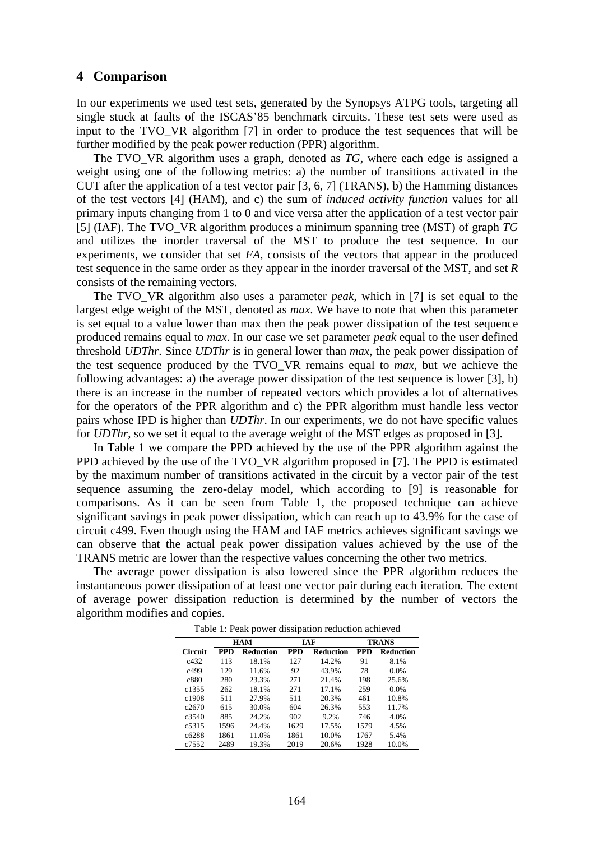### **4 Comparison**

In our experiments we used test sets, generated by the Synopsys ATPG tools, targeting all single stuck at faults of the ISCAS'85 benchmark circuits. These test sets were used as input to the TVO VR algorithm [7] in order to produce the test sequences that will be further modified by the peak power reduction (PPR) algorithm.

The TVO\_VR algorithm uses a graph, denoted as *TG*, where each edge is assigned a weight using one of the following metrics: a) the number of transitions activated in the CUT after the application of a test vector pair [3, 6, 7] (TRANS), b) the Hamming distances of the test vectors [4] (HAM), and c) the sum of *induced activity function* values for all primary inputs changing from 1 to 0 and vice versa after the application of a test vector pair [5] (IAF). The TVO\_VR algorithm produces a minimum spanning tree (MST) of graph *TG* and utilizes the inorder traversal of the MST to produce the test sequence. In our experiments, we consider that set *FA*, consists of the vectors that appear in the produced test sequence in the same order as they appear in the inorder traversal of the MST, and set *R* consists of the remaining vectors.

The TVO\_VR algorithm also uses a parameter *peak*, which in [7] is set equal to the largest edge weight of the MST, denoted as *max*. We have to note that when this parameter is set equal to a value lower than max then the peak power dissipation of the test sequence produced remains equal to *max*. In our case we set parameter *peak* equal to the user defined threshold *UDThr*. Since *UDThr* is in general lower than *max*, the peak power dissipation of the test sequence produced by the TVO\_VR remains equal to *max*, but we achieve the following advantages: a) the average power dissipation of the test sequence is lower [3], b) there is an increase in the number of repeated vectors which provides a lot of alternatives for the operators of the PPR algorithm and c) the PPR algorithm must handle less vector pairs whose IPD is higher than *UDThr*. In our experiments, we do not have specific values for *UDThr*, so we set it equal to the average weight of the MST edges as proposed in [3].

In Table 1 we compare the PPD achieved by the use of the PPR algorithm against the PPD achieved by the use of the TVO\_VR algorithm proposed in [7]. The PPD is estimated by the maximum number of transitions activated in the circuit by a vector pair of the test sequence assuming the zero-delay model, which according to [9] is reasonable for comparisons. As it can be seen from Table 1, the proposed technique can achieve significant savings in peak power dissipation, which can reach up to 43.9% for the case of circuit c499. Even though using the HAM and IAF metrics achieves significant savings we can observe that the actual peak power dissipation values achieved by the use of the TRANS metric are lower than the respective values concerning the other two metrics.

The average power dissipation is also lowered since the PPR algorithm reduces the instantaneous power dissipation of at least one vector pair during each iteration. The extent of average power dissipation reduction is determined by the number of vectors the algorithm modifies and copies.

|                | <b>HAM</b> |           | IAF        |           | <b>TRANS</b> |           |
|----------------|------------|-----------|------------|-----------|--------------|-----------|
| <b>Circuit</b> | <b>PPD</b> | Reduction | <b>PPD</b> | Reduction | <b>PPD</b>   | Reduction |
| c432           | 113        | 18.1%     | 127        | 14.2%     | 91           | 8.1%      |
| c499           | 129        | 11.6%     | 92         | 43.9%     | 78           | $0.0\%$   |
| c880           | 280        | 23.3%     | 271        | 21.4%     | 198          | 25.6%     |
| c1355          | 262        | 18.1%     | 271        | 17.1%     | 259          | $0.0\%$   |
| c1908          | 511        | 27.9%     | 511        | 20.3%     | 461          | 10.8%     |
| c2670          | 615        | 30.0%     | 604        | 26.3%     | 553          | 11.7%     |
| c3540          | 885        | 24.2%     | 902        | 9.2%      | 746          | 4.0%      |
| c5315          | 1596       | 24.4%     | 1629       | 17.5%     | 1579         | 4.5%      |
| c6288          | 1861       | 11.0%     | 1861       | 10.0%     | 1767         | 5.4%      |
| c7552          | 2489       | 19.3%     | 2019       | 20.6%     | 1928         | 10.0%     |

Table 1: Peak power dissipation reduction achieved